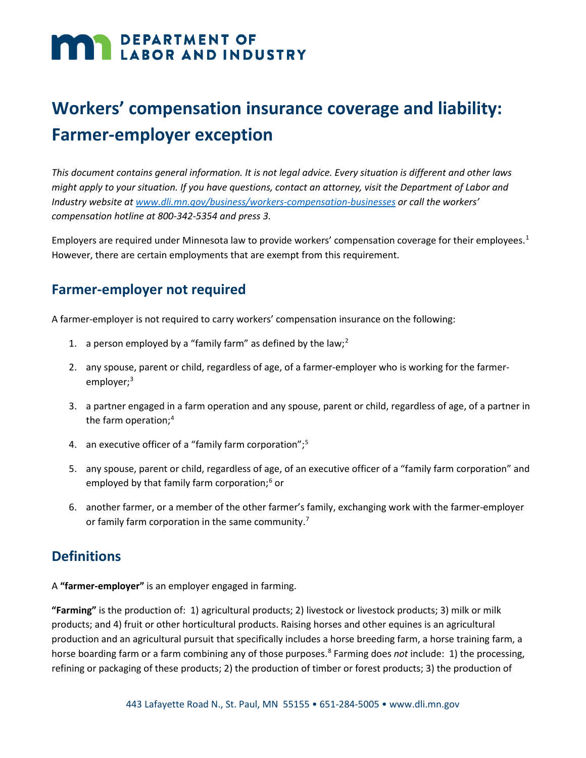# **DEPARTMENT OF LABOR AND INDUSTRY**

## **Workers' compensation insurance coverage and liability: Farmer-employer exception**

*This document contains general information. It is not legal advice. Every situation is different and other laws might apply to your situation. If you have questions, contact an attorney, visit the Department of Labor and Industry website a[t www.dli.mn.gov/business/workers-compensation-businesses](http://www.dli.mn.gov/business/workers-compensation-businesses) or call the workers' compensation hotline at 800-342-5354 and press 3.*

Employers are required under Minnesota law to provide workers' compensation coverage for their employees[.1](#page-3-0) However, there are certain employments that are exempt from this requirement.

#### **Farmer-employer not required**

A farmer-employer is not required to carry workers' compensation insurance on the following:

- 1. a person employed by a "family farm" as defined by the law;<sup>[2](#page-3-1)</sup>
- 2. any spouse, parent or child, regardless of age, of a farmer-employer who is working for the farmer-employer;<sup>[3](#page-3-2)</sup>
- 3. a partner engaged in a farm operation and any spouse, parent or child, regardless of age, of a partner in the farm operation; [4](#page-3-3)
- 4. an executive officer of a "family farm corporation";<sup>[5](#page-3-4)</sup>
- 5. any spouse, parent or child, regardless of age, of an executive officer of a "family farm corporation" and employed by that family farm corporation; [6](#page-3-5) or
- 6. another farmer, or a member of the other farmer's family, exchanging work with the farmer-employer or family farm corporation in the same community.<sup>[7](#page-3-6)</sup>

#### **Definitions**

A **"farmer-employer"** is an employer engaged in farming.

**"Farming"** is the production of: 1) agricultural products; 2) livestock or livestock products; 3) milk or milk products; and 4) fruit or other horticultural products. Raising horses and other equines is an agricultural production and an agricultural pursuit that specifically includes a horse breeding farm, a horse training farm, a horse boarding farm or a farm combining any of those purposes.<sup>[8](#page-3-7)</sup> Farming does *not* include: 1) the processing, refining or packaging of these products; 2) the production of timber or forest products; 3) the production of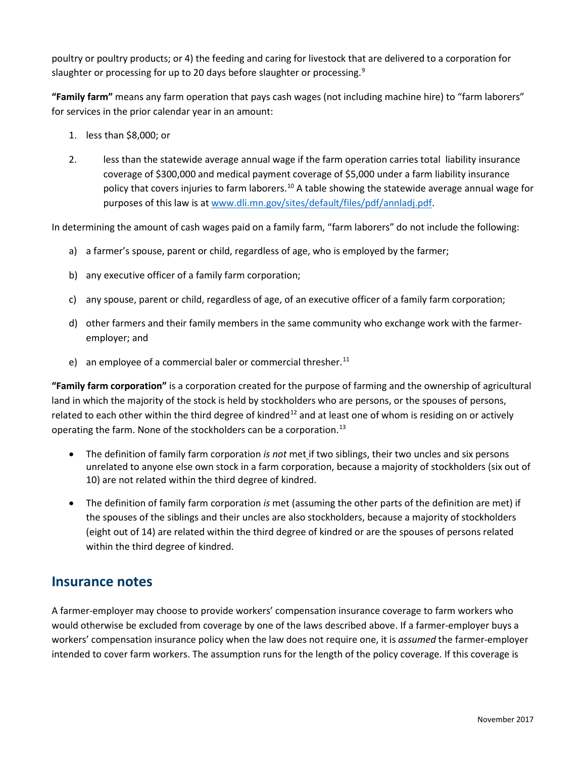poultry or poultry products; or 4) the feeding and caring for livestock that are delivered to a corporation for slaughter or processing for up to 20 days before slaughter or processing.<sup>[9](#page-3-8)</sup>

**"Family farm"** means any farm operation that pays cash wages (not including machine hire) to "farm laborers" for services in the prior calendar year in an amount:

- 1. less than \$8,000; or
- 2. less than the statewide average annual wage if the farm operation carries total liability insurance coverage of \$300,000 and medical payment coverage of \$5,000 under a farm liability insurance policy that covers injuries to farm laborers.<sup>[10](#page-3-9)</sup> A table showing the statewide average annual wage for purposes of this law is at [www.dli.mn.gov/sites/default/files/pdf/annladj.pdf.](http://www.dli.mn.gov/sites/default/files/pdf/annladj.pdf)

In determining the amount of cash wages paid on a family farm, "farm laborers" do not include the following:

- a) a farmer's spouse, parent or child, regardless of age, who is employed by the farmer;
- b) any executive officer of a family farm corporation;
- c) any spouse, parent or child, regardless of age, of an executive officer of a family farm corporation;
- d) other farmers and their family members in the same community who exchange work with the farmeremployer; and
- e) an employee of a commercial baler or commercial thresher.<sup>[11](#page-3-10)</sup>

**"Family farm corporation"** is a corporation created for the purpose of farming and the ownership of agricultural land in which the majority of the stock is held by stockholders who are persons, or the spouses of persons, related to each other within the third degree of kindred<sup>[12](#page-3-11)</sup> and at least one of whom is residing on or actively operating the farm. None of the stockholders can be a corporation.<sup>[13](#page-3-12)</sup>

- The definition of family farm corporation *is not* met if two siblings, their two uncles and six persons unrelated to anyone else own stock in a farm corporation, because a majority of stockholders (six out of 10) are not related within the third degree of kindred.
- The definition of family farm corporation *is* met (assuming the other parts of the definition are met) if the spouses of the siblings and their uncles are also stockholders, because a majority of stockholders (eight out of 14) are related within the third degree of kindred or are the spouses of persons related within the third degree of kindred.

#### **Insurance notes**

A farmer-employer may choose to provide workers' compensation insurance coverage to farm workers who would otherwise be excluded from coverage by one of the laws described above. If a farmer-employer buys a workers' compensation insurance policy when the law does not require one, it is *assumed* the farmer-employer intended to cover farm workers. The assumption runs for the length of the policy coverage. If this coverage is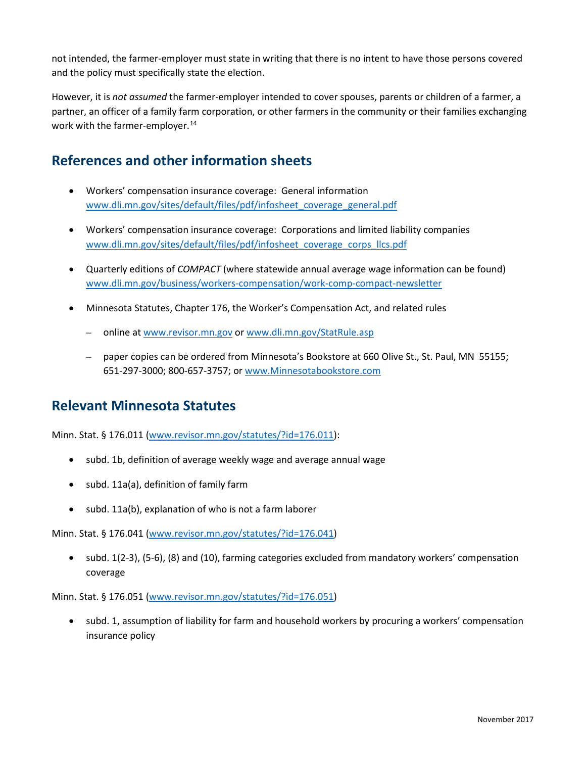not intended, the farmer-employer must state in writing that there is no intent to have those persons covered and the policy must specifically state the election.

However, it is *not assumed* the farmer-employer intended to cover spouses, parents or children of a farmer, a partner, an officer of a family farm corporation, or other farmers in the community or their families exchanging work with the farmer-employer.<sup>[14](#page-3-13)</sup>

### **References and other information sheets**

- Workers' compensation insurance coverage: General information [www.dli.mn.gov/sites/default/files/pdf/infosheet\\_coverage\\_general.pdf](http://www.dli.mn.gov/sites/default/files/pdf/infosheet_coverage_general.pdf)
- Workers' compensation insurance coverage: Corporations and limited liability companies [www.dli.mn.gov/sites/default/files/pdf/infosheet\\_coverage\\_corps\\_llcs.pdf](http://www.dli.mn.gov/sites/default/files/pdf/infosheet_coverage_corps_llcs.pdf)
- Quarterly editions of *COMPACT* (where statewide annual average wage information can be found) [www.dli.mn.gov/business/workers-compensation/work-comp-compact-newsletter](http://www.dli.mn.gov/business/workers-compensation/work-comp-compact-newsletter)
- Minnesota Statutes, Chapter 176, the Worker's Compensation Act, and related rules
	- online at [www.revisor.mn.gov](http://www.revisor.mn.gov/) o[r www.dli.mn.gov/StatRule.asp](http://www.dli.mn.gov/StatRule.asp)
	- paper copies can be ordered from Minnesota's Bookstore at 660 Olive St., St. Paul, MN 55155; 651-297-3000; 800-657-3757; or [www.Minnesotabookstore.com](http://www.minnesotabookstore.com/)

#### **Relevant Minnesota Statutes**

Minn. Stat. § 176.011 [\(www.revisor.mn.gov/statutes/?id=176.011\)](http://www.revisor.mn.gov/statutes/?id=176.011):

- subd. 1b, definition of average weekly wage and average annual wage
- subd. 11a(a), definition of family farm
- subd. 11a(b), explanation of who is not a farm laborer

Minn. Stat. § 176.041 [\(www.revisor.mn.gov/statutes/?id=176.041\)](http://www.revisor.mn.gov/statutes/?id=176.041)

• subd. 1(2-3), (5-6), (8) and (10), farming categories excluded from mandatory workers' compensation coverage

Minn. Stat. § 176.051 [\(www.revisor.mn.gov/statutes/?id=176.051\)](https://www.revisor.mn.gov/statutes/?id=176.051)

• subd. 1, assumption of liability for farm and household workers by procuring a workers' compensation insurance policy